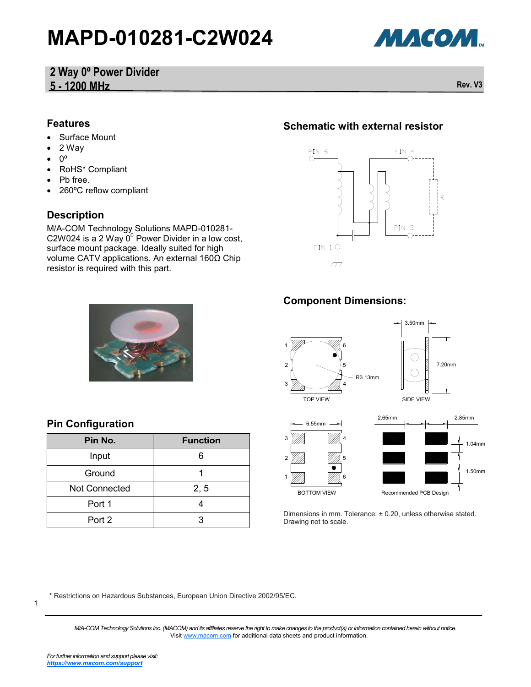# **MAPD-010281-C2W024**



### **2 Way 0º Power Divider 5 - 1200 MHz Rev. V3**

#### **Features**

- Surface Mount
- 2 Way
- $0^{\circ}$
- RoHS\* Compliant
- Pb free.
- 260ºC reflow compliant

#### **Description**

M/A-COM Technology Solutions MAPD-010281-  $\frac{1}{2}$  C2W024 is a 2 Way  $0^0$  Power Divider in a low cost, surface mount package. Ideally suited for high volume CATV applications. An external 160Ω Chip resistor is required with this part.

#### **Schematic with external resistor**





# **Pin Configuration**

| Pin No.              | <b>Function</b> |
|----------------------|-----------------|
| Input                | 6               |
| Ground               |                 |
| <b>Not Connected</b> | 2, 5            |
| Port 1               |                 |
| Port 2               | З               |

#### **Component Dimensions:**



Dimensions in mm. Tolerance: ± 0.20, unless otherwise stated. Drawing not to scale.

\* Restrictions on Hazardous Substances, European Union Directive 2002/95/EC.

1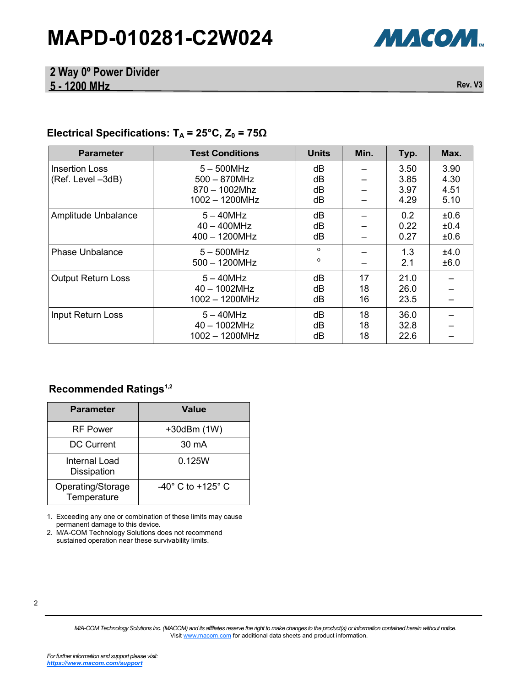# **MAPD-010281-C2W024**



#### **2 Way 0º Power Divider 5 - 1200 MHz Rev. V3**

### **Electrical Specifications: T<sup>A</sup> = 25°C, Z<sup>0</sup> = 75Ω**

| <b>Parameter</b>                    | <b>Test Conditions</b>                                               | <b>Units</b>         | Min.           | Typ.                         | Max.                         |
|-------------------------------------|----------------------------------------------------------------------|----------------------|----------------|------------------------------|------------------------------|
| Insertion Loss<br>(Ref. Level -3dB) | $5-500$ MHz<br>$500 - 870$ MHz<br>$870 - 1002$ Mhz<br>1002 - 1200MHz | dB<br>dB<br>dB<br>dB |                | 3.50<br>3.85<br>3.97<br>4.29 | 3.90<br>4.30<br>4.51<br>5.10 |
| Amplitude Unbalance                 | $5 - 40$ MHz<br>$40 - 400$ MHz<br>$400 - 1200$ MHz                   | dB<br>dB<br>dB       |                | 0.2<br>0.22<br>0.27          | ±0.6<br>±0.4<br>±0.6         |
| Phase Unbalance                     | $5 - 500$ MHz<br>$500 - 1200 MHz$                                    | $\Omega$<br>$\circ$  |                | 1.3<br>2.1                   | ±4.0<br>±6.0                 |
| <b>Output Return Loss</b>           | $5 - 40$ MHz<br>$40 - 1002 MHz$<br>1002 - 1200MHz                    | dB<br>dB<br>dB       | 17<br>18<br>16 | 21.0<br>26.0<br>23.5         |                              |
| <b>Input Return Loss</b>            | $5 - 40$ MHz<br>40 - 1002MHz<br>1002 - 1200MHz                       | dB<br>dB<br>dB       | 18<br>18<br>18 | 36.0<br>32.8<br>22.6         |                              |

#### **Recommended Ratings1,2**

| <b>Parameter</b>                 | <b>Value</b>                        |
|----------------------------------|-------------------------------------|
| <b>RF</b> Power                  | $+30$ dBm $(1W)$                    |
| <b>DC Current</b>                | 30 mA                               |
| Internal Load<br>Dissipation     | 0.125W                              |
| Operating/Storage<br>Temperature | $-40^{\circ}$ C to $+125^{\circ}$ C |

1. Exceeding any one or combination of these limits may cause permanent damage to this device.

2. M/A-COM Technology Solutions does not recommend sustained operation near these survivability limits.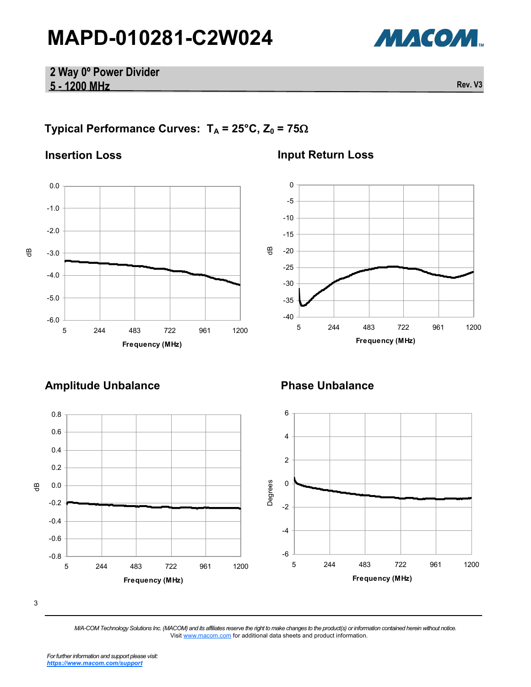

#### **2 Way 0º Power Divider 5 - 1200 MHz Rev. V3**

## **Typical Performance Curves:**  $T_A = 25^\circ \text{C}$ ,  $Z_0 = 75\Omega$

#### **Insertion Loss**



### **Input Return Loss**



# **Amplitude Unbalance Phase Unbalance**

#### 3 -0.8 -0.6 -0.4 -0.2 0.0 0.2 0.4 0.6 0.8 5 244 483 722 961 1200 **Frequency (MHz) dB** dB -6 -4 -2 0 2 4 6 5 244 483 722 961 1200 **Frequency (MHz)** م<br>رق<br>بو Degrees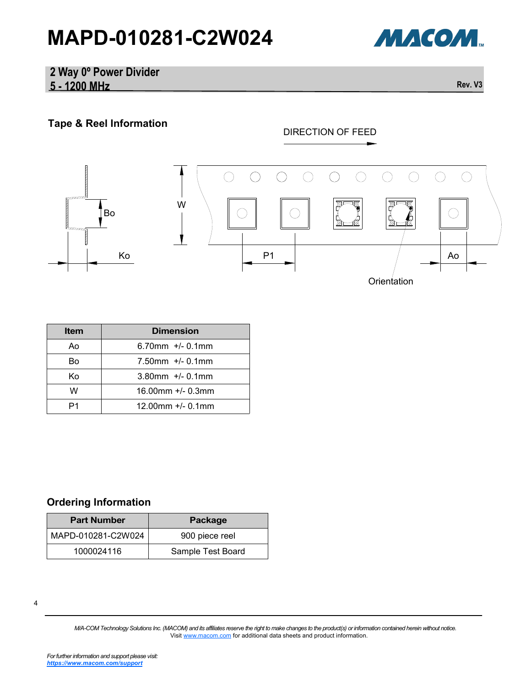# **MAPD-010281-C2W024**



#### **2 Way 0º Power Divider 5 - 1200 MHz Rev. V3**

## **Tape & Reel Information**



| <b>Item</b> | <b>Dimension</b>        |
|-------------|-------------------------|
| Ao          | $6.70$ mm $+/$ - 0.1mm  |
| B٥          | $7.50$ mm $+/$ - 0.1mm  |
| K٥          | $3.80$ mm +/- 0.1mm     |
| w           | $16.00$ mm $+/- 0.3$ mm |
|             | $12.00$ mm $+/- 0.1$ mm |

#### **Ordering Information**

| <b>Part Number</b> | Package           |
|--------------------|-------------------|
| MAPD-010281-C2W024 | 900 piece reel    |
| 1000024116         | Sample Test Board |

<sup>4</sup>